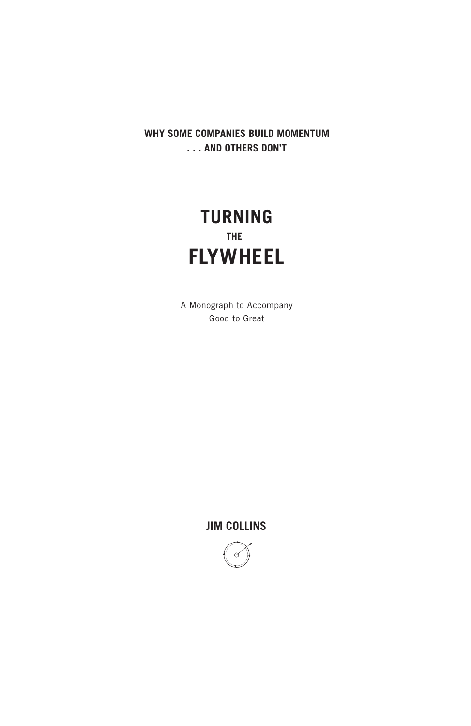**WHY SOME COMPANIES BUILD MOMENTUM . . . AND OTHERS DON'T**

## **TURNING THE FLYWHEEL**

A Monograph to Accompany Good to Great

**JIM COLLINS**

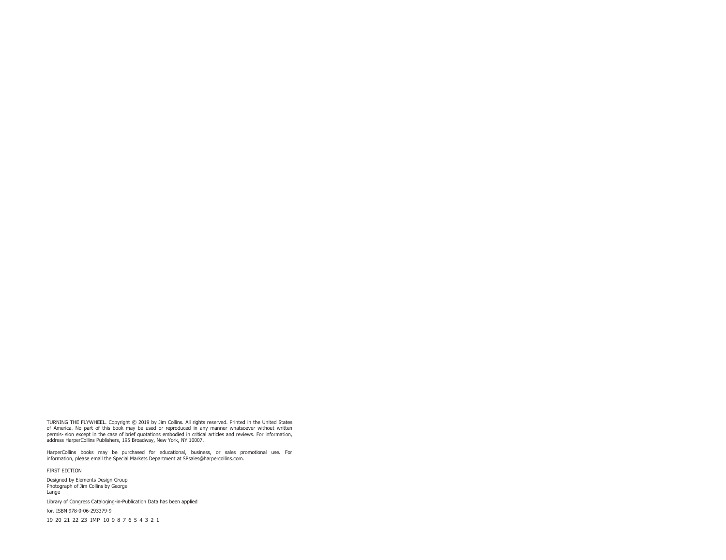TURNING THE FLYWHEEL. Copyright © 2019 by Jim Collins. All rights reserved. Printed in the United States of America. No part of this book may be used or reproduced in any manner whatsoever without written permis- sion except in the case of brief quotations embodied in critical articles and reviews. For information, address HarperCollins Publishers, 195 Broadway, New York, NY 10007.

HarperCollins books may be purchased for educational, business, or sales promotional use. For information, please email the Special Markets Department at SPsales@harpercollins.com.

FIRST EDITION

Designed by Elements Design Group Photograph of Jim Collins by George Lange

Library of Congress Cataloging-in-Publication Data has been applied

for. ISBN 978-0-06-293379-9

19 20 21 22 23 IMP 10 9 8 7 6 5 4 3 2 1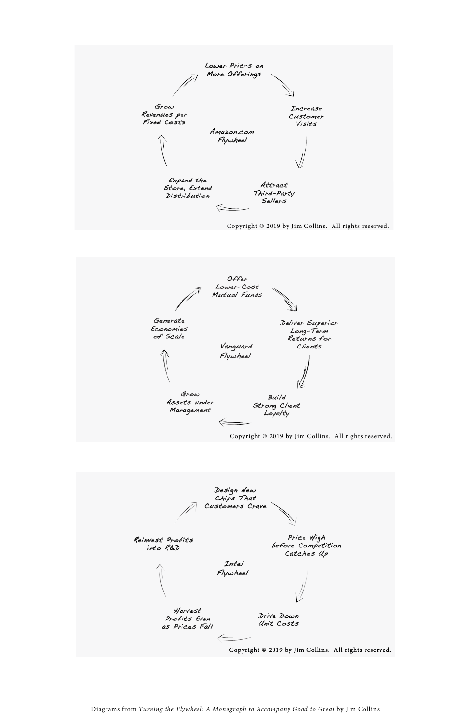



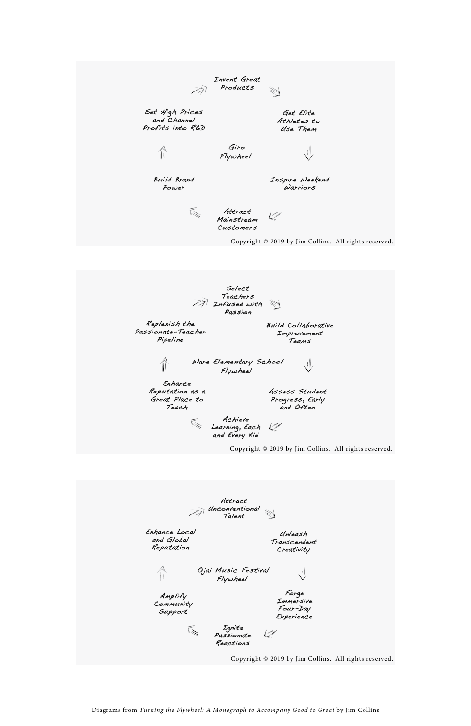





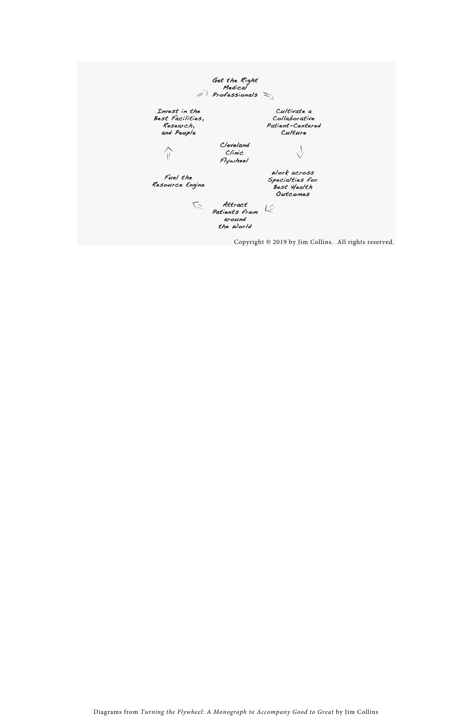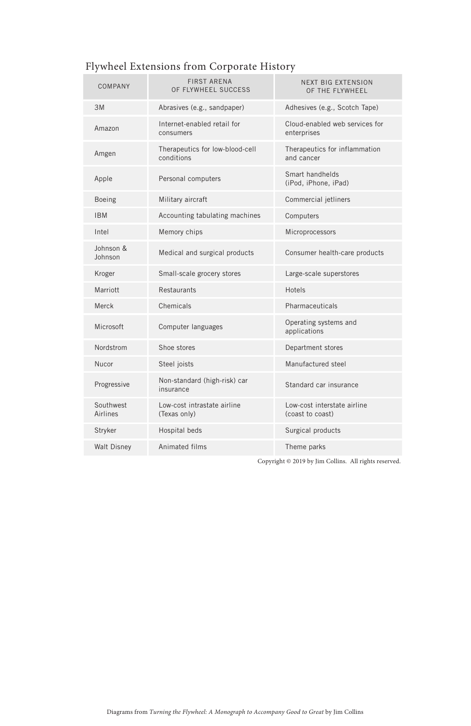| COMPANY               | <b>FIRST ARENA</b><br>OF FLYWHEEL SUCCESS     | <b>NEXT BIG EXTENSION</b><br>OF THE FLYWHEEL    |
|-----------------------|-----------------------------------------------|-------------------------------------------------|
| 3M                    | Abrasives (e.g., sandpaper)                   | Adhesives (e.g., Scotch Tape)                   |
| Amazon                | Internet-enabled retail for<br>consumers      | Cloud-enabled web services for<br>enterprises   |
| Amgen                 | Therapeutics for low-blood-cell<br>conditions | Therapeutics for inflammation<br>and cancer     |
| Apple                 | Personal computers                            | Smart handhelds<br>(iPod, iPhone, iPad)         |
| Boeing                | Military aircraft                             | Commercial jetliners                            |
| <b>IBM</b>            | Accounting tabulating machines                | Computers                                       |
| Intel                 | Memory chips                                  | Microprocessors                                 |
| Johnson &<br>Johnson  | Medical and surgical products                 | Consumer health-care products                   |
| Kroger                | Small-scale grocery stores                    | Large-scale superstores                         |
| Marriott              | Restaurants                                   | Hotels                                          |
| Merck                 | Chemicals                                     | Pharmaceuticals                                 |
| Microsoft             | Computer languages                            | Operating systems and<br>applications           |
| Nordstrom             | Shoe stores                                   | Department stores                               |
| Nucor                 | Steel joists                                  | Manufactured steel                              |
| Progressive           | Non-standard (high-risk) car<br>insurance     | Standard car insurance                          |
| Southwest<br>Airlines | Low-cost intrastate airline<br>(Texas only)   | Low-cost interstate airline<br>(coast to coast) |
| Stryker               | Hospital beds                                 | Surgical products                               |
| <b>Walt Disney</b>    | Animated films                                | Theme parks                                     |

## Flywheel Extensions from Corporate History

Copyright © 2019 by Jim Collins. All rights reserved.